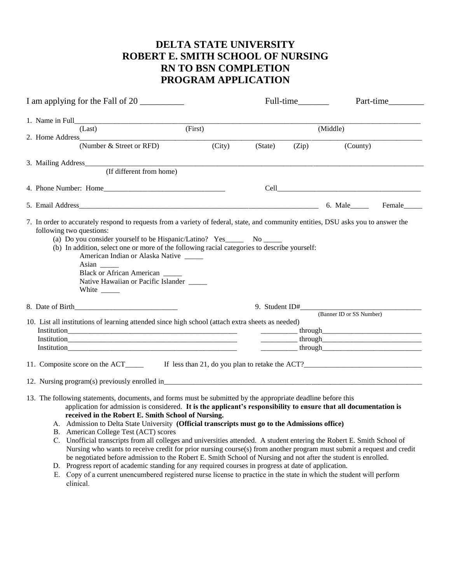## **DELTA STATE UNIVERSITY ROBERT E. SMITH SCHOOL OF NURSING RN TO BSN COMPLETION PROGRAM APPLICATION**

| I am applying for the Fall of 20  |                                                                                                                                                                                                                                                                                                                                                                                                                                                                                                                                                                                                                                                                                                                                                                                                                                                                                                                                                                                                                                           |        |          |       | Part-time                |  |  |  |  |  |
|-----------------------------------|-------------------------------------------------------------------------------------------------------------------------------------------------------------------------------------------------------------------------------------------------------------------------------------------------------------------------------------------------------------------------------------------------------------------------------------------------------------------------------------------------------------------------------------------------------------------------------------------------------------------------------------------------------------------------------------------------------------------------------------------------------------------------------------------------------------------------------------------------------------------------------------------------------------------------------------------------------------------------------------------------------------------------------------------|--------|----------|-------|--------------------------|--|--|--|--|--|
| 1. Name in Full                   |                                                                                                                                                                                                                                                                                                                                                                                                                                                                                                                                                                                                                                                                                                                                                                                                                                                                                                                                                                                                                                           |        |          |       |                          |  |  |  |  |  |
| (Last)                            | (First)                                                                                                                                                                                                                                                                                                                                                                                                                                                                                                                                                                                                                                                                                                                                                                                                                                                                                                                                                                                                                                   |        | (Middle) |       |                          |  |  |  |  |  |
| 2. Home Address                   | (Number & Street or RFD)                                                                                                                                                                                                                                                                                                                                                                                                                                                                                                                                                                                                                                                                                                                                                                                                                                                                                                                                                                                                                  | (City) | (State)  | (Zip) | (County)                 |  |  |  |  |  |
| 3. Mailing Address                |                                                                                                                                                                                                                                                                                                                                                                                                                                                                                                                                                                                                                                                                                                                                                                                                                                                                                                                                                                                                                                           |        |          |       |                          |  |  |  |  |  |
|                                   | (If different from home)                                                                                                                                                                                                                                                                                                                                                                                                                                                                                                                                                                                                                                                                                                                                                                                                                                                                                                                                                                                                                  |        |          |       |                          |  |  |  |  |  |
|                                   |                                                                                                                                                                                                                                                                                                                                                                                                                                                                                                                                                                                                                                                                                                                                                                                                                                                                                                                                                                                                                                           |        |          |       |                          |  |  |  |  |  |
|                                   |                                                                                                                                                                                                                                                                                                                                                                                                                                                                                                                                                                                                                                                                                                                                                                                                                                                                                                                                                                                                                                           |        |          |       |                          |  |  |  |  |  |
| following two questions:<br>Asian | 7. In order to accurately respond to requests from a variety of federal, state, and community entities, DSU asks you to answer the<br>(a) Do you consider yourself to be Hispanic/Latino? Yes________ No _______<br>(b) In addition, select one or more of the following racial categories to describe yourself:<br>American Indian or Alaska Native<br>Black or African American<br>Native Hawaiian or Pacific Islander                                                                                                                                                                                                                                                                                                                                                                                                                                                                                                                                                                                                                  |        |          |       |                          |  |  |  |  |  |
| 8. Date of Birth                  |                                                                                                                                                                                                                                                                                                                                                                                                                                                                                                                                                                                                                                                                                                                                                                                                                                                                                                                                                                                                                                           |        |          |       |                          |  |  |  |  |  |
|                                   | 10. List all institutions of learning attended since high school (attach extra sheets as needed)<br>$Institution$                                                                                                                                                                                                                                                                                                                                                                                                                                                                                                                                                                                                                                                                                                                                                                                                                                                                                                                         |        |          |       | (Banner ID or SS Number) |  |  |  |  |  |
|                                   |                                                                                                                                                                                                                                                                                                                                                                                                                                                                                                                                                                                                                                                                                                                                                                                                                                                                                                                                                                                                                                           |        |          |       |                          |  |  |  |  |  |
|                                   |                                                                                                                                                                                                                                                                                                                                                                                                                                                                                                                                                                                                                                                                                                                                                                                                                                                                                                                                                                                                                                           |        |          |       |                          |  |  |  |  |  |
| clinical.                         | 13. The following statements, documents, and forms must be submitted by the appropriate deadline before this<br>application for admission is considered. It is the applicant's responsibility to ensure that all documentation is<br>received in the Robert E. Smith School of Nursing.<br>A. Admission to Delta State University (Official transcripts must go to the Admissions office)<br>B. American College Test (ACT) scores<br>C. Unofficial transcripts from all colleges and universities attended. A student entering the Robert E. Smith School of<br>Nursing who wants to receive credit for prior nursing course(s) from another program must submit a request and credit<br>be negotiated before admission to the Robert E. Smith School of Nursing and not after the student is enrolled.<br>D. Progress report of academic standing for any required courses in progress at date of application.<br>E. Copy of a current unencumbered registered nurse license to practice in the state in which the student will perform |        |          |       |                          |  |  |  |  |  |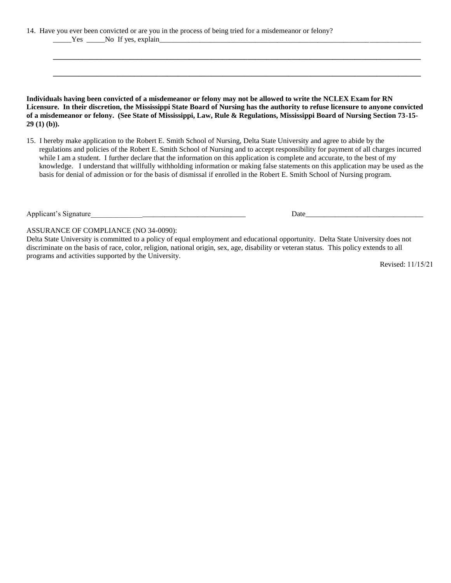14. Have you ever been convicted or are you in the process of being tried for a misdemeanor or felony? \_\_\_\_\_Yes \_\_\_\_\_No If yes, explain\_\_\_\_\_\_\_\_\_\_\_\_\_\_\_\_\_\_\_\_\_\_\_\_\_\_\_\_\_\_\_\_\_\_\_\_\_\_\_\_\_\_\_\_\_\_\_\_\_\_\_\_\_\_\_\_\_\_\_\_\_\_\_\_\_\_\_\_\_\_\_

**Individuals having been convicted of a misdemeanor or felony may not be allowed to write the NCLEX Exam for RN Licensure. In their discretion, the Mississippi State Board of Nursing has the authority to refuse licensure to anyone convicted of a misdemeanor or felony. (See State of Mississippi, Law, Rule & Regulations, Mississippi Board of Nursing Section 73-15- 29 (1) (b)).**

**\_\_\_\_\_\_\_\_\_\_\_\_\_\_\_\_\_\_\_\_\_\_\_\_\_\_\_\_\_\_\_\_\_\_\_\_\_\_\_\_\_\_\_\_\_\_\_\_\_\_\_\_\_\_\_\_\_\_\_\_\_\_\_\_\_\_\_\_\_\_\_\_\_\_\_\_\_\_\_\_\_\_\_\_\_\_\_\_\_\_\_\_\_\_\_\_\_\_\_\_**

**\_\_\_\_\_\_\_\_\_\_\_\_\_\_\_\_\_\_\_\_\_\_\_\_\_\_\_\_\_\_\_\_\_\_\_\_\_\_\_\_\_\_\_\_\_\_\_\_\_\_\_\_\_\_\_\_\_\_\_\_\_\_\_\_\_\_\_\_\_\_\_\_\_\_\_\_\_\_\_\_\_\_\_\_\_\_\_\_\_\_\_\_\_\_\_\_\_\_\_\_**

15. I hereby make application to the Robert E. Smith School of Nursing, Delta State University and agree to abide by the regulations and policies of the Robert E. Smith School of Nursing and to accept responsibility for payment of all charges incurred while I am a student. I further declare that the information on this application is complete and accurate, to the best of my knowledge. I understand that willfully withholding information or making false statements on this application may be used as the basis for denial of admission or for the basis of dismissal if enrolled in the Robert E. Smith School of Nursing program.

Applicant's Signature and a settlement of the settlement of the Date of the Date of the Signature of the Signature of the Signature of the Signature of the Signature of the Signature of the Signature of the Signature of th

ASSURANCE OF COMPLIANCE (NO 34-0090):

Delta State University is committed to a policy of equal employment and educational opportunity. Delta State University does not discriminate on the basis of race, color, religion, national origin, sex, age, disability or veteran status. This policy extends to all programs and activities supported by the University.

Revised: 11/15/21